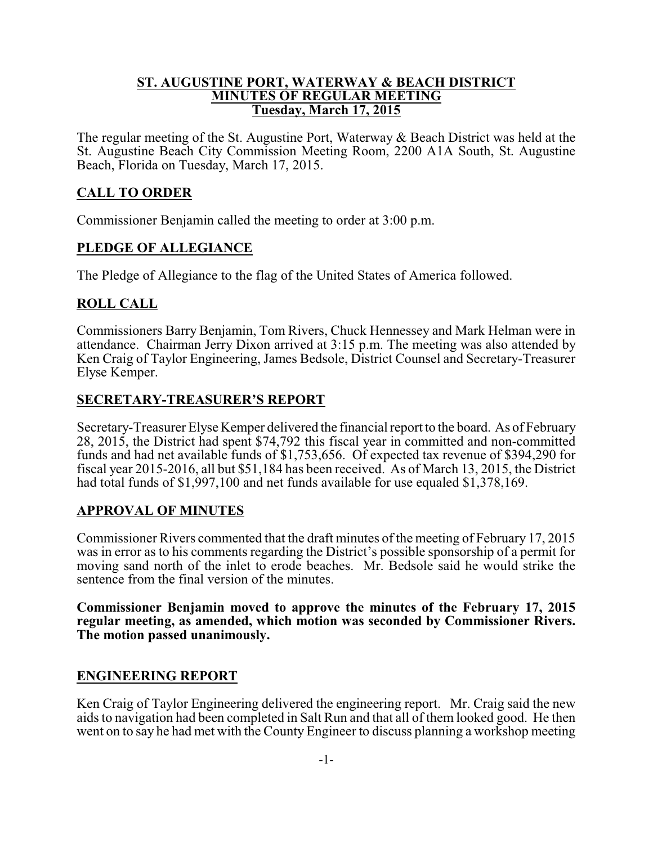### **ST. AUGUSTINE PORT, WATERWAY & BEACH DISTRICT MINUTES OF REGULAR MEETING Tuesday, March 17, 2015**

The regular meeting of the St. Augustine Port, Waterway & Beach District was held at the St. Augustine Beach City Commission Meeting Room, 2200 A1A South, St. Augustine Beach, Florida on Tuesday, March 17, 2015.

# **CALL TO ORDER**

Commissioner Benjamin called the meeting to order at 3:00 p.m.

## **PLEDGE OF ALLEGIANCE**

The Pledge of Allegiance to the flag of the United States of America followed.

## **ROLL CALL**

Commissioners Barry Benjamin, Tom Rivers, Chuck Hennessey and Mark Helman were in attendance. Chairman Jerry Dixon arrived at 3:15 p.m. The meeting was also attended by Ken Craig of Taylor Engineering, James Bedsole, District Counsel and Secretary-Treasurer Elyse Kemper.

## **SECRETARY-TREASURER'S REPORT**

Secretary-Treasurer Elyse Kemper delivered the financial report to the board. As of February 28, 2015, the District had spent \$74,792 this fiscal year in committed and non-committed funds and had net available funds of \$1,753,656. Of expected tax revenue of \$394,290 for fiscal year 2015-2016, all but \$51,184 has been received. As of March 13, 2015, the District had total funds of \$1,997,100 and net funds available for use equaled \$1,378,169.

### **APPROVAL OF MINUTES**

Commissioner Rivers commented that the draft minutes of the meeting of February 17, 2015 was in error as to his comments regarding the District's possible sponsorship of a permit for moving sand north of the inlet to erode beaches. Mr. Bedsole said he would strike the sentence from the final version of the minutes.

**Commissioner Benjamin moved to approve the minutes of the February 17, 2015 regular meeting, as amended, which motion was seconded by Commissioner Rivers. The motion passed unanimously.**

### **ENGINEERING REPORT**

Ken Craig of Taylor Engineering delivered the engineering report. Mr. Craig said the new aids to navigation had been completed in Salt Run and that all of them looked good. He then went on to say he had met with the County Engineer to discuss planning a workshop meeting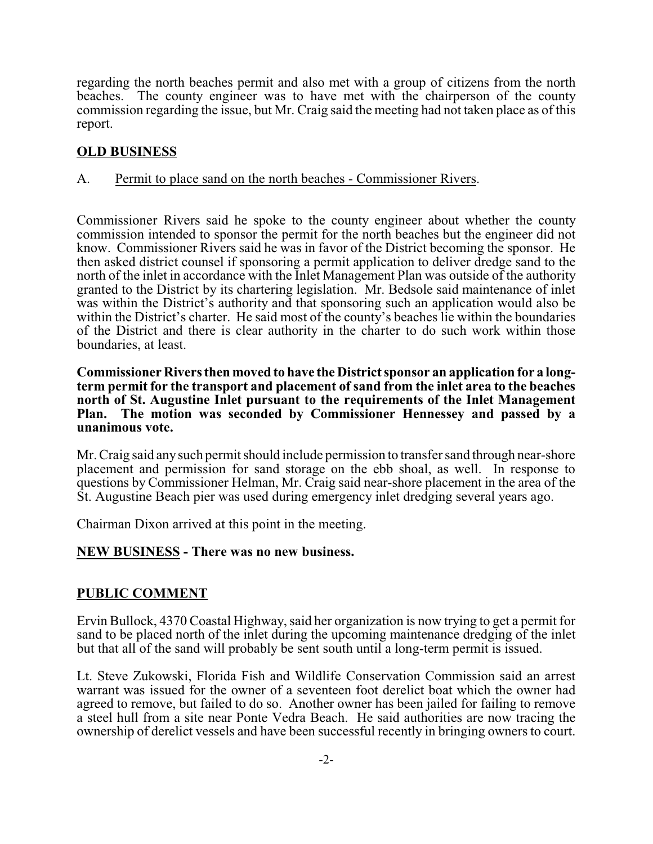regarding the north beaches permit and also met with a group of citizens from the north beaches. The county engineer was to have met with the chairperson of the county commission regarding the issue, but Mr. Craig said the meeting had not taken place as of this report.

# **OLD BUSINESS**

### A. Permit to place sand on the north beaches - Commissioner Rivers.

Commissioner Rivers said he spoke to the county engineer about whether the county commission intended to sponsor the permit for the north beaches but the engineer did not know. Commissioner Rivers said he was in favor of the District becoming the sponsor. He then asked district counsel if sponsoring a permit application to deliver dredge sand to the north of the inlet in accordance with the Inlet Management Plan was outside of the authority granted to the District by its chartering legislation. Mr. Bedsole said maintenance of inlet was within the District's authority and that sponsoring such an application would also be within the District's charter. He said most of the county's beaches lie within the boundaries of the District and there is clear authority in the charter to do such work within those boundaries, at least.

#### **Commissioner Rivers then moved to have the District sponsor an application for a longterm permit for the transport and placement of sand from the inlet area to the beaches north of St. Augustine Inlet pursuant to the requirements of the Inlet Management Plan. The motion was seconded by Commissioner Hennessey and passed by a unanimous vote.**

Mr. Craig said anysuch permit should include permission to transfer sand through near-shore placement and permission for sand storage on the ebb shoal, as well. In response to questions by Commissioner Helman, Mr. Craig said near-shore placement in the area of the St. Augustine Beach pier was used during emergency inlet dredging several years ago.

Chairman Dixon arrived at this point in the meeting.

### **NEW BUSINESS - There was no new business.**

### **PUBLIC COMMENT**

Ervin Bullock, 4370 Coastal Highway, said her organization is now trying to get a permit for sand to be placed north of the inlet during the upcoming maintenance dredging of the inlet but that all of the sand will probably be sent south until a long-term permit is issued.

Lt. Steve Zukowski, Florida Fish and Wildlife Conservation Commission said an arrest warrant was issued for the owner of a seventeen foot derelict boat which the owner had agreed to remove, but failed to do so. Another owner has been jailed for failing to remove a steel hull from a site near Ponte Vedra Beach. He said authorities are now tracing the ownership of derelict vessels and have been successful recently in bringing owners to court.